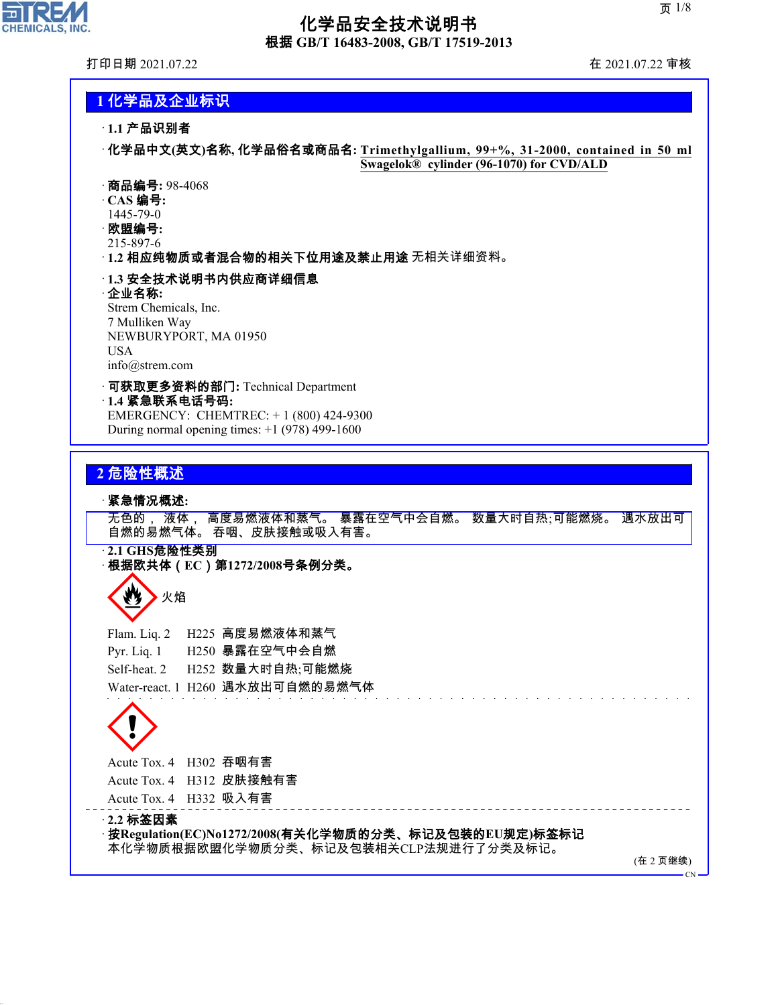

## 化学品安全技术说明书 根据 **GB/T 16483-2008, GB/T 17519-2013**

打印日期 2021.07.22 在 2021.07.22 审核

### **1** 化学品及企业标识

· **1.1** 产品识别者

· 化学品中文**(**英文**)**名称**,** 化学品俗名或商品名**: Trimethylgallium, 99+%, 31-2000, contained in 50 ml Swagelok® cylinder (96-1070) for CVD/ALD**

· 商品编号**:** 98-4068

· **CAS** 编号**:**

1445-79-0

· 欧盟编号**:** 215-897-6

· **1.2** 相应纯物质或者混合物的相关下位用途及禁止用途 无相关详细资料。

#### · **1.3** 安全技术说明书内供应商详细信息

#### · 企业名称**:**

Strem Chemicals, Inc. 7 Mulliken Way NEWBURYPORT, MA 01950 USA info@strem.com

#### · 可获取更多资料的部门**:** Technical Department · **1.4** 紧急联系电话号码**:**

EMERGENCY: CHEMTREC: + 1 (800) 424-9300 During normal opening times: +1 (978) 499-1600

### **2** 危险性概述

#### · 紧急情况概述**:**

无色的, 液体, 高度易燃液体和蒸气。 暴露在空气中会自燃。 数量大时自热;可能燃烧。 遇水放出可 自燃的易燃气体。 吞咽、皮肤接触或吸入有害。

· **2.1 GHS**危险性类别 · 根据欧共体(**EC**)第**1272/2008**号条例分类。

# ▶火焰

Flam. Liq. 2 H225 高度易燃液体和蒸气 Pyr. Liq. 1 H250 暴露在空气中会自燃 Self-heat. 2 H252 数量大时自热;可能燃烧 Water-react. 1 H260 遇水放出可自燃的易燃气体

 $\langle \cdot \rangle$ 

## Acute Tox. 4 H302 吞咽有害

Acute Tox. 4 H312 皮肤接触有害

Acute Tox. 4 H332 吸入有害

#### · **2.2** 标签因素

44.1.1

· 按**Regulation(EC)No1272/2008(**有关化学物质的分类、标记及包装的**EU**规定**)**标签标记 本化学物质根据欧盟化学物质分类、标记及包装相关CLP法规进行了分类及标记。

(在 2 页继续)

CN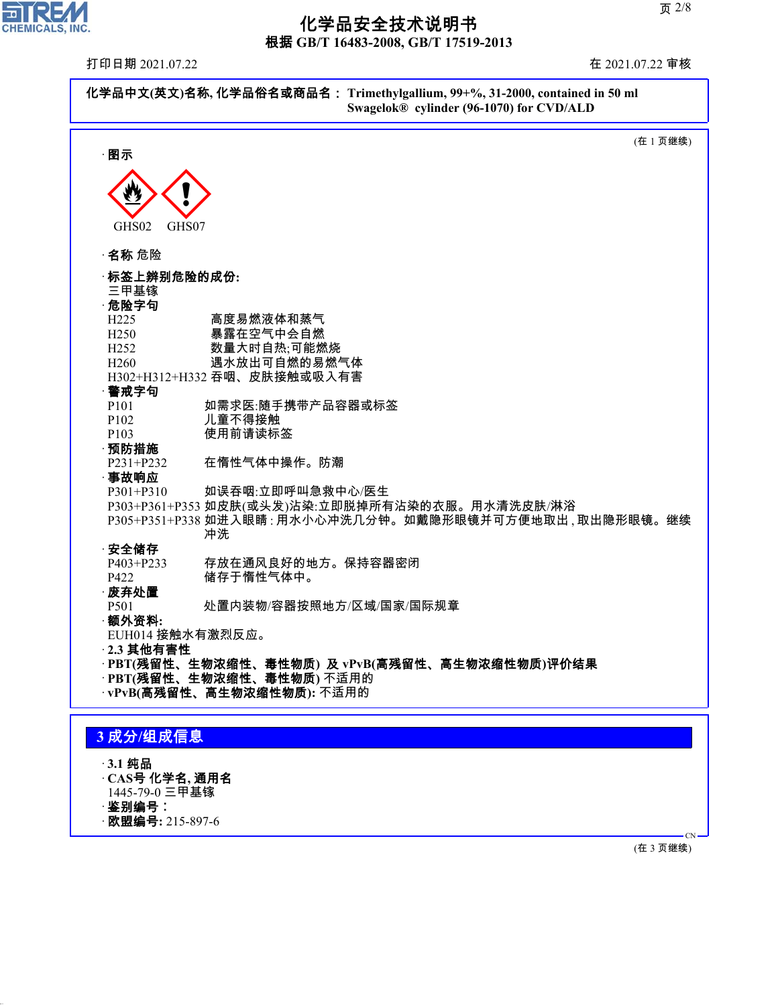

44.1.1

## 化学品安全技术说明书

根据 **GB/T 16483-2008, GB/T 17519-2013**

打印日期 2021.07.22 在 2021.07.22 审核

| 化学品中文(英文)名称, 化学品俗名或商品名: Trimethylgallium, 99+%, 31-2000, contained in 50 ml<br>Swagelok® cylinder (96-1070) for CVD/ALD |                                                                                                           |  |  |
|-------------------------------------------------------------------------------------------------------------------------|-----------------------------------------------------------------------------------------------------------|--|--|
| ·图示                                                                                                                     | (在1页继续)                                                                                                   |  |  |
| GHS02<br>GHS07                                                                                                          |                                                                                                           |  |  |
| · <b>名称</b> 危险                                                                                                          |                                                                                                           |  |  |
| ·标签上辨别危险的成份:<br>三甲基镓<br>· 危险字句                                                                                          |                                                                                                           |  |  |
| H <sub>225</sub><br>H <sub>250</sub><br>H <sub>252</sub><br>H <sub>260</sub>                                            | 高度易燃液体和蒸气<br>暴露在空气中会自燃<br>数量大时自热;可能燃烧<br>遇水放出可自燃的易燃气体                                                     |  |  |
| ·警戒字句<br>P <sub>101</sub>                                                                                               | H302+H312+H332 吞咽、皮肤接触或吸入有害<br>如需求医:随手携带产品容器或标签                                                           |  |  |
| P102<br>P <sub>103</sub><br>·预防措施                                                                                       | 儿童不得接触<br>使用前请读标签                                                                                         |  |  |
| P231+P232<br>·事故响应<br>$P301 + P310$                                                                                     | 在惰性气体中操作。防潮<br>如误吞咽:立即呼叫急救中心/医生<br>P303+P361+P353 如皮肤(或头发)沾染:立即脱掉所有沾染的衣服。用水清洗皮肤/淋浴                        |  |  |
| ·安全储存                                                                                                                   | P305+P351+P338 如进入眼睛 : 用水小心冲洗几分钟。如戴隐形眼镜并可方便地取出 , 取出隐形眼镜。继续<br>冲洗                                          |  |  |
| P403+P233<br>P422<br>·废弃处置<br>P <sub>501</sub>                                                                          | 存放在通风良好的地方。保持容器密闭<br>储存于惰性气体中。<br>处置内装物/容器按照地方/区域/国家/国际规章                                                 |  |  |
| ·额外资料:<br>EUH014 接触水有激烈反应。<br>$-2.3$ 其他有害性                                                                              |                                                                                                           |  |  |
|                                                                                                                         | · PBT(残留性、生物浓缩性、毒性物质) 及 vPvB(高残留性、高生物浓缩性物质)评价结果<br>· PBT(残留性、生物浓缩性、毒性物质)不适用的<br>vPvB(高残留性、高生物浓缩性物质): 不适用的 |  |  |
| 3成分/组成信息                                                                                                                |                                                                                                           |  |  |
| · 3.1 纯品<br>$-CAS$ 号 化学名, 通用名<br>1445-79-0 三甲基镓<br>·鉴别编号:<br>·欧盟编号: 215-897-6                                           |                                                                                                           |  |  |
|                                                                                                                         |                                                                                                           |  |  |

(在 3 页继续)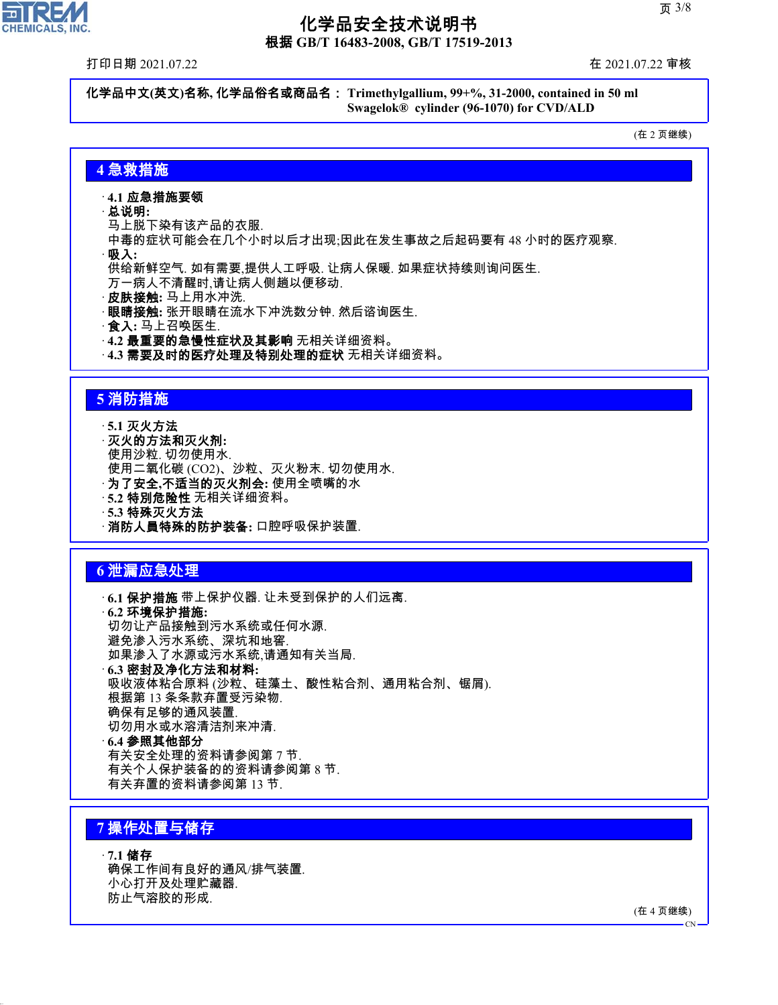根据 **GB/T 16483-2008, GB/T 17519-2013**

打印日期 2021.07.22 在 2021.07.22 审核

**oll:** 

**CHEMICALS, INC.** 

化学品中文**(**英文**)**名称**,** 化学品俗名或商品名: **Trimethylgallium, 99+%, 31-2000, contained in 50 ml Swagelok® cylinder (96-1070) for CVD/ALD**

(在 2 页继续)

### **4** 急救措施

#### · **4.1** 应急措施要领

- · 总说明**:**
- 马上脱下染有该产品的衣服.

中毒的症状可能会在几个小时以后才出现;因此在发生事故之后起码要有 48 小时的医疗观察.

· 吸入**:**

供给新鲜空气. 如有需要,提供人工呼吸. 让病人保暖. 如果症状持续则询问医生.

万一病人不清醒时,请让病人侧趟以便移动.

- · 皮肤接触**:** 马上用水冲洗.
- · 眼睛接触**:** 张开眼睛在流水下冲洗数分钟. 然后谘询医生.
- · 食入**:** 马上召唤医生.
- · **4.2** 最重要的急慢性症状及其影响 无相关详细资料。
- · **4.3** 需要及时的医疗处理及特别处理的症状 无相关详细资料。

#### **5** 消防措施

· **5.1** 灭火方法 · 灭火的方法和灭火剂**:** 使用沙粒. 切勿使用水. 使用二氧化碳 (CO2)、沙粒、灭火粉末. 切勿使用水. · 为了安全**,**不适当的灭火剂会**:** 使用全喷嘴的水 · **5.2** 特別危险性 无相关详细资料。 · **5.3** 特殊灭火方法 · 消防人員特殊的防护装备**:** 口腔呼吸保护装置.

#### **6** 泄漏应急处理

· **6.1** 保护措施 带上保护仪器. 让未受到保护的人们远离. · **6.2** 环境保护措施**:** 切勿让产品接触到污水系统或任何水源. 避免渗入污水系统、深坑和地窖. 如果渗入了水源或污水系统,请通知有关当局. · **6.3** 密封及净化方法和材料**:** 吸收液体粘合原料 (沙粒、硅藻土、酸性粘合剂、通用粘合剂、锯屑). 根据第 13 条条款弃置受污染物. 确保有足够的通风装置. 切勿用水或水溶清洁剂来冲清. · **6.4** 参照其他部分 有关安全处理的资料请参阅第 7 节. 有关个人保护装备的的资料请参阅第 8 节.

有关弃置的资料请参阅第 13 节.

### **7** 操作处置与储存

44.1.1

· **7.1** 储存 确保工作间有良好的通风/排气装置. 小心打开及处理贮藏器. 防止气溶胶的形成.

(在 4 页继续)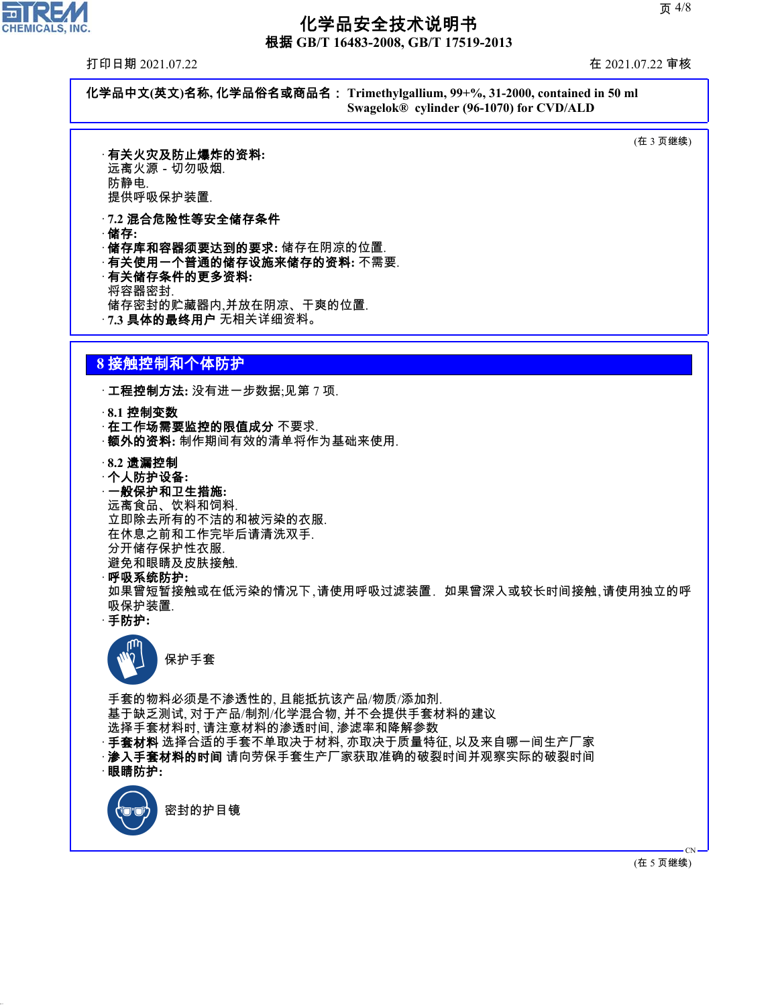根据 **GB/T 16483-2008, GB/T 17519-2013**

打印日期 2021.07.22 在 2021.07.22 审核

ᄀ

**CHEMICALS, INC.** 

化学品中文**(**英文**)**名称**,** 化学品俗名或商品名: **Trimethylgallium, 99+%, 31-2000, contained in 50 ml Swagelok® cylinder (96-1070) for CVD/ALD**

(在 3 页继续)

· 有关火灾及防止爆炸的资料**:** 远离火源-切勿吸烟. 防静电.

提供呼吸保护装置.

- · **7.2** 混合危险性等安全储存条件 · 储存**:**
- · 储存库和容器须要达到的要求**:** 储存在阴凉的位置.
- · 有关使用一个普通的储存设施来储存的资料**:** 不需要.
- · 有关储存条件的更多资料**:** 将容器密封. 储存密封的贮藏器内,并放在阴凉、干爽的位置. · **7.3** 具体的最终用户 无相关详细资料。

## **8** 接触控制和个体防护

· 工程控制方法**:** 没有进一步数据;见第 7 项.

· **8.1** 控制变数

· 在工作场需要监控的限值成分 不要求.

- · 额外的资料**:** 制作期间有效的清单将作为基础来使用.
- · **8.2** 遗漏控制
- · 个人防护设备**:**
- · 一般保护和卫生措施**:**

远离食品、饮料和饲料. 立即除去所有的不洁的和被污染的衣服. 在休息之前和工作完毕后请清洗双手. 分开储存保护性衣服. 避免和眼睛及皮肤接触.

· 呼吸系统防护**:**

如果曾短暂接触或在低污染的情况下,请使用呼吸过滤装置. 如果曾深入或较长时间接触,请使用独立的呼 吸保护装置.

· 手防护**:**



手套的物料必须是不渗透性的, 且能抵抗该产品/物质/添加剂. 基于缺乏测试, 对于产品/制剂/化学混合物, 并不会提供手套材料的建议 选择手套材料时, 请注意材料的渗透时间, 渗滤率和降解参数 · **手套材料** 选择合适的手套不单取决于材料, 亦取决于质量特征, 以及来自哪一间生产厂家 · 渗入手套材料的时间 请向劳保手套生产厂家获取准确的破裂时间并观察实际的破裂时间 · 眼睛防护**:**



44.1.1

(在 5 页继续)

CN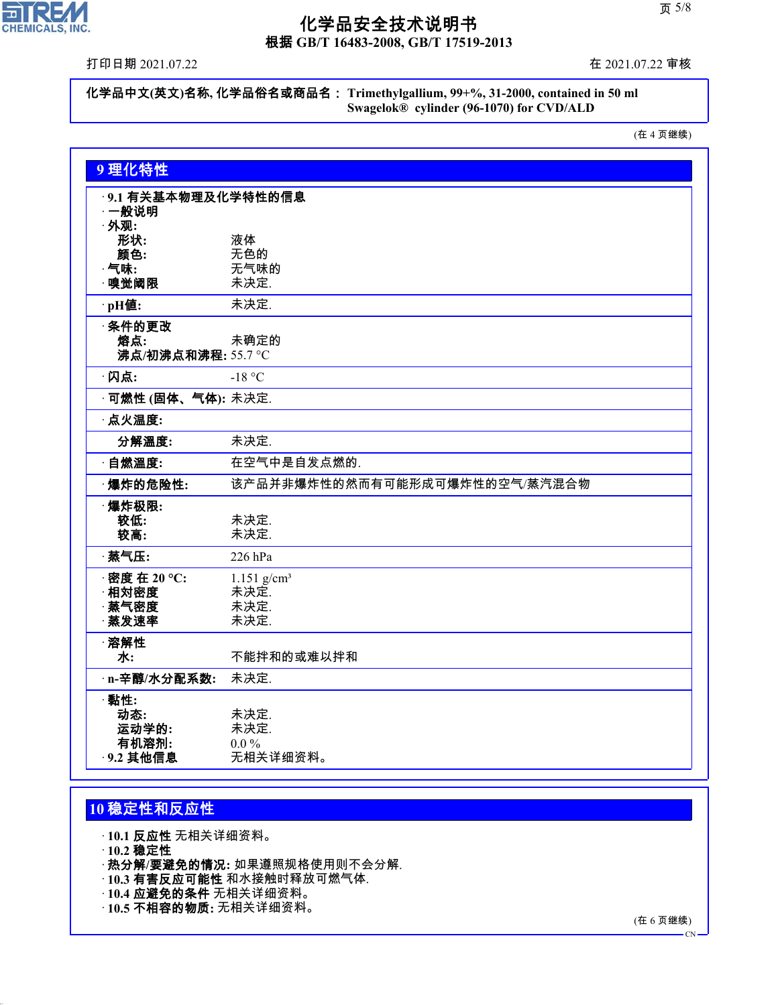

根据 **GB/T 16483-2008, GB/T 17519-2013**

打印日期 2021.07.22 在 2021.07.22 审核

化学品中文**(**英文**)**名称**,** 化学品俗名或商品名: **Trimethylgallium, 99+%, 31-2000, contained in 50 ml Swagelok® cylinder (96-1070) for CVD/ALD**

(在 4 页继续)

| 9理化特性                      |                               |
|----------------------------|-------------------------------|
| ·9.1 有关基本物理及化学特性的信息        |                               |
| ·一般说明                      |                               |
| · 外观:                      |                               |
| 形状:                        | 液体                            |
| 颜色:<br>$\cdot$ 气味:         | 无色的<br>无气味的                   |
| ·嗅觉阈限                      | 未决定.                          |
| ·pH值:                      | 未决定.                          |
| ·条件的更改                     |                               |
| 熔点:                        | 未确定的                          |
| 沸点/初沸点和沸程: 55.7 ℃          |                               |
| ·闪点:                       | $-18$ °C                      |
| · <b>可燃性 (固体、气体):</b> 未决定. |                               |
| · 点火温度:                    |                               |
| 分解溫度:                      | 未决定.                          |
| · 自燃溫度:                    | 在空气中是自发点燃的.                   |
| ·爆炸的危险性:                   | 该产品并非爆炸性的然而有可能形成可爆炸性的空气/蒸汽混合物 |
| ·爆炸极限:                     |                               |
| 较低:                        | 未决定.                          |
| 较高:                        | 未决定.                          |
| · 蒸气压:                     | 226 hPa                       |
| · 密度 在 20 °C:              | $1.151$ g/cm <sup>3</sup>     |
| 相対密度                       | 未决定.                          |
| · 蒸气密度                     | 未决定.                          |
| · 蒸发速率                     | 未决定.                          |
| ·溶解性                       |                               |
| 水:                         | 不能拌和的或难以拌和                    |
| · n-辛醇/水分配系数:              | 未决定.                          |
| ·黏性:                       |                               |
| 动态:                        | 未决定.                          |
| 运动学的:                      | 未决定.                          |
| 有机溶剂:                      | $0.0\%$                       |
| · 9.2 其他信息                 | 无相关详细资料。                      |

## **10** 稳定性和反应性

· **10.1** 反应性 无相关详细资料。

· **10.2** 稳定性

44.1.1

- · 热分解**/**要避免的情况**:** 如果遵照规格使用则不会分解.
- · **10.3** 有害反应可能性 和水接触时释放可燃气体.
- · **10.4** 应避免的条件 无相关详细资料。
- · **10.5** 不相容的物质**:** 无相关详细资料。

(在 6 页继续)

 $\overline{C}N$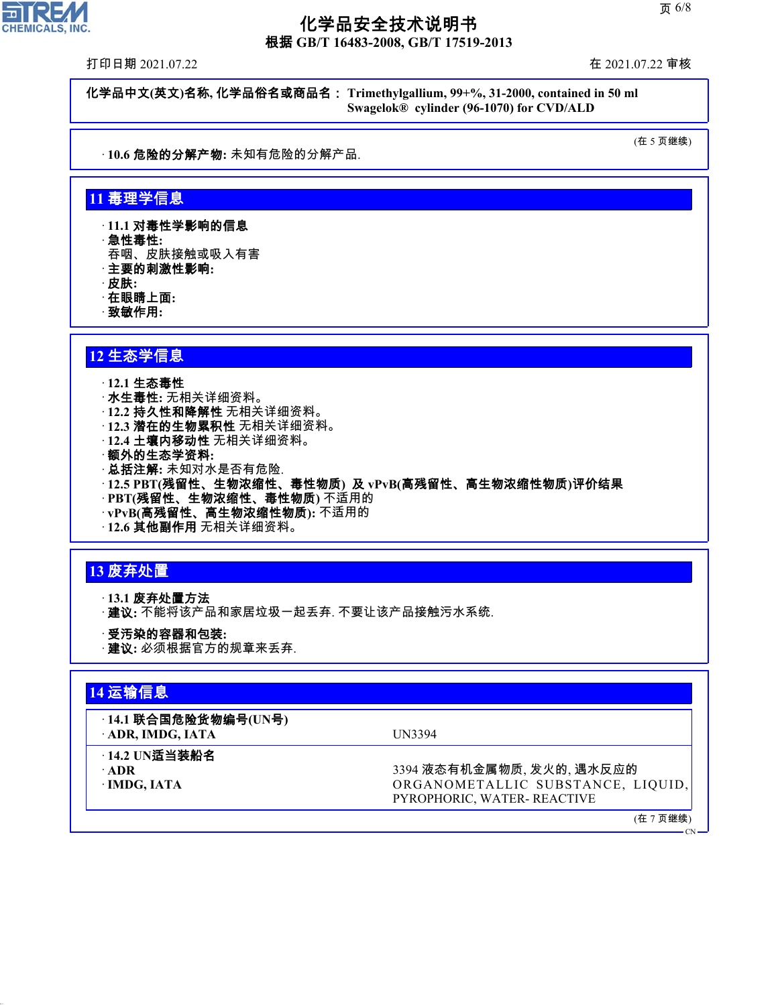根据 **GB/T 16483-2008, GB/T 17519-2013**

打印日期 2021.07.22 在 2021.07.22 审核

化学品中文**(**英文**)**名称**,** 化学品俗名或商品名: **Trimethylgallium, 99+%, 31-2000, contained in 50 ml Swagelok® cylinder (96-1070) for CVD/ALD**

· **10.6** 危险的分解产物**:** 未知有危险的分解产品.

(在 5 页继续)

#### **11** 毒理学信息

· **11.1** 对毒性学影响的信息

- · 急性毒性**:**
- 吞咽、皮肤接触或吸入有害
- · 主要的刺激性影响**:**
- · 皮肤**:**
- · 在眼睛上面**:**
- · 致敏作用**:**

#### **12** 生态学信息

#### · **12.1** 生态毒性

- · 水生毒性**:** 无相关详细资料。
- · **12.2** 持久性和降解性 无相关详细资料。
- · **12.3** 潜在的生物累积性 无相关详细资料。
- · **12.4** 土壤内移动性 无相关详细资料。
- · 额外的生态学资料**:**
- · 总括注解**:** 未知对水是否有危险.
- · **12.5 PBT(**残留性、生物浓缩性、毒性物质**)** 及 **vPvB(**高残留性、高生物浓缩性物质**)**评价结果
- · **PBT(**残留性、生物浓缩性、毒性物质**)** 不适用的
- · **vPvB(**高残留性、高生物浓缩性物质**):** 不适用的
- · **12.6** 其他副作用 无相关详细资料。

### **13** 废弃处置

· **13.1** 废弃处置方法

- · 建议**:** 不能将该产品和家居垃圾一起丢弃. 不要让该产品接触污水系统.
- · 受汚染的容器和包装**:**
- · 建议**:** 必须根据官方的规章来丢弃.

#### **14** 运输信息

## · **14.1** 联合国危险货物编号**(UN**号**)**

· **ADR, IMDG, IATA** UN3394

- · **14.2 UN**适当装船名
- 

44.1.1

· **ADR 3394 液态有机金属物质, 发火的, 遇水反应的** · **IMDG, IATA** ORGANOMETALLIC SUBSTANCE, LIQUID, PYROPHORIC, WATER- REACTIVE

(在 7 页继续)

 $\epsilon$ CN<sub>2</sub>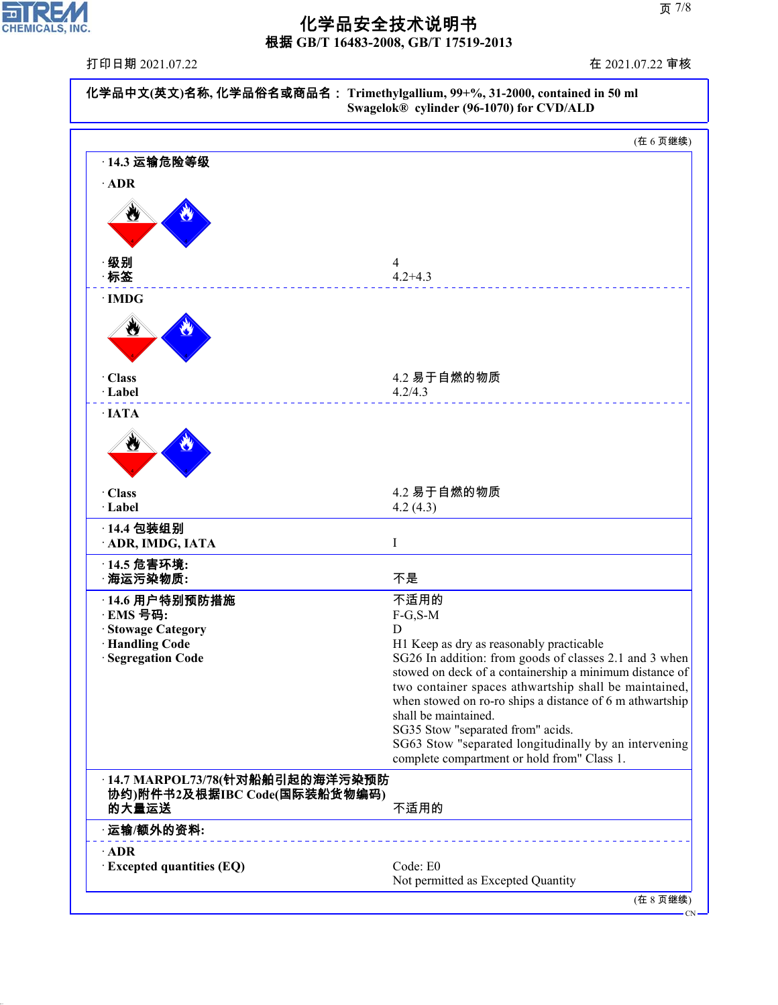

44.1.1

## 化学品安全技术说明书

根据 **GB/T 16483-2008, GB/T 17519-2013**

| 打印日期 2021.07.22                                                          | 在 2021.07.22 审核                                                                                                                                                                                                                                                                                                                                                                                             |  |
|--------------------------------------------------------------------------|-------------------------------------------------------------------------------------------------------------------------------------------------------------------------------------------------------------------------------------------------------------------------------------------------------------------------------------------------------------------------------------------------------------|--|
|                                                                          | 化学品中文(英文)名称, 化学品俗名或商品名: Trimethylgallium, 99+%, 31-2000, contained in 50 ml<br>Swagelok® cylinder (96-1070) for CVD/ALD                                                                                                                                                                                                                                                                                     |  |
|                                                                          | (在6页继续)                                                                                                                                                                                                                                                                                                                                                                                                     |  |
| 14.3 运输危险等级                                                              |                                                                                                                                                                                                                                                                                                                                                                                                             |  |
| $\cdot$ ADR                                                              |                                                                                                                                                                                                                                                                                                                                                                                                             |  |
| ₩                                                                        |                                                                                                                                                                                                                                                                                                                                                                                                             |  |
| ·级别                                                                      | 4                                                                                                                                                                                                                                                                                                                                                                                                           |  |
| ·标签                                                                      | $4.2 + 4.3$                                                                                                                                                                                                                                                                                                                                                                                                 |  |
| $\cdot$ IMDG<br>$\tilde{\bm{y}}$                                         |                                                                                                                                                                                                                                                                                                                                                                                                             |  |
| · Class<br>· Label                                                       | 4.2 易于自燃的物质<br>4.2/4.3                                                                                                                                                                                                                                                                                                                                                                                      |  |
| $\cdot$ IATA                                                             |                                                                                                                                                                                                                                                                                                                                                                                                             |  |
| ₩<br>· Class                                                             | 4.2 易于自燃的物质                                                                                                                                                                                                                                                                                                                                                                                                 |  |
| · Label                                                                  | 4.2(4.3)                                                                                                                                                                                                                                                                                                                                                                                                    |  |
| · 14.4 包装组别                                                              |                                                                                                                                                                                                                                                                                                                                                                                                             |  |
| ADR, IMDG, IATA                                                          | I                                                                                                                                                                                                                                                                                                                                                                                                           |  |
| · 14.5 危害环境:<br>· 海运污染物质:                                                | 不是                                                                                                                                                                                                                                                                                                                                                                                                          |  |
| 14.6 用户特别预防措施                                                            | 不适用的                                                                                                                                                                                                                                                                                                                                                                                                        |  |
| ·EMS 号码:<br><b>Stowage Category</b>                                      | $F-G, S-M$<br>D                                                                                                                                                                                                                                                                                                                                                                                             |  |
| · Handling Code                                                          | H1 Keep as dry as reasonably practicable                                                                                                                                                                                                                                                                                                                                                                    |  |
| · Segregation Code                                                       | SG26 In addition: from goods of classes 2.1 and 3 when<br>stowed on deck of a containership a minimum distance of<br>two container spaces athwartship shall be maintained,<br>when stowed on ro-ro ships a distance of 6 m athwartship<br>shall be maintained.<br>SG35 Stow "separated from" acids.<br>SG63 Stow "separated longitudinally by an intervening<br>complete compartment or hold from" Class 1. |  |
| ·14.7 MARPOL73/78(针对船舶引起的海洋污染预防<br>协约)附件书2及根据IBC Code(国际装船货物编码)<br>的大量运送 | 不适用的                                                                                                                                                                                                                                                                                                                                                                                                        |  |
| 运输/额外的资料:                                                                |                                                                                                                                                                                                                                                                                                                                                                                                             |  |
| $\cdot$ ADR                                                              |                                                                                                                                                                                                                                                                                                                                                                                                             |  |
| $\cdot$ Excepted quantities (EQ)                                         | Code: E0<br>Not permitted as Excepted Quantity                                                                                                                                                                                                                                                                                                                                                              |  |
|                                                                          | (在8页继续)                                                                                                                                                                                                                                                                                                                                                                                                     |  |

 $-CN-$